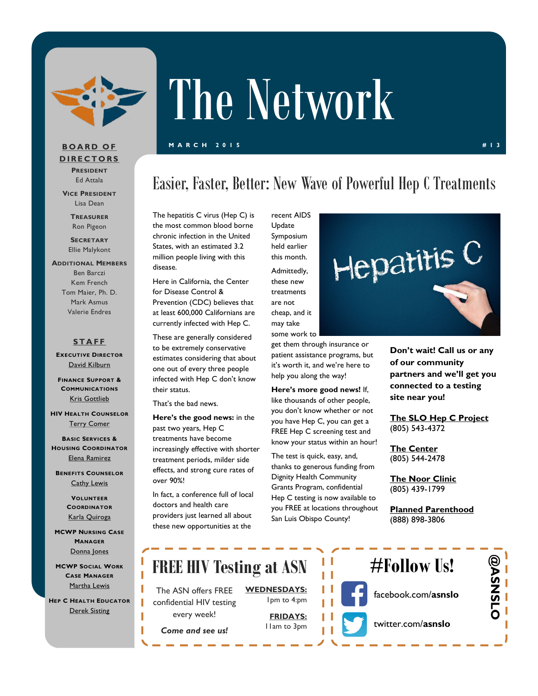

# The Network

#### **M A R C H 2 0 1 5 # 1 3**

### **B O A R D O F D I R E C T O R S PRESIDENT**

Ed Attala **VICE PRESIDENT**

Lisa Dean

**TREASURER** Ron Pigeon

**SECRETARY** Ellie Malykont

#### **ADDITIONAL MEMBERS** Ben Barczi Kem French Tom Maier, Ph. D. Mark Asmus Valerie Endres

### **S T A F F**

**EXECUTIVE DIRECTOR** [David Kilburn](mailto:dkilburn@asn.org)

**FINANCE SUPPORT & COMMUNICATIONS** [Kris Gottlieb](mailto:kgottlieb@asn.org)

**HIV HEALTH COUNSELOR** [Terry Comer](mailto:TComer@asn.org)

**BASIC SERVICES & HOUSING COORDINATOR** [Elena Ramirez](mailto:eramirez@asn.org)

**BENEFITS COUNSELOR [Cathy Lewis](mailto:CLewis@slohepc.org)** 

> **VOLUNTEER COORDINATOR** [Karla Quiroga](mailto:kquiroga@asn.org)

**MCWP NURSING CASE MANAGER** Donna Jon

**MCWP SOCIAL CASE MANA** Martha Ley

**HEP C HEALTH E** Derek Sist

### Easier, Faster, Better: New Wave of Powerful Hep C Treatments

The hepatitis C virus (Hep C) is the most common blood borne chronic infection in the United States, with an estimated 3.2 million people living with this disease.

Here in California, the Center for Disease Control & Prevention (CDC) believes that at least 600,000 Californians are currently infected with Hep C.

These are generally considered to be extremely conservative estimates considering that about one out of every three people infected with Hep C don't know their status.

That's the bad news.

**Here's the good news:** in the past two years, Hep C treatments have become increasingly effective with shorter treatment periods, milder side effects, and strong cure rates of over 90%!

In fact, a conference full of local doctors and health care providers just learned all about these new opportunities at the

Update Symposium held earlier this month. Admittedly, these new treatments are not cheap, and it may take

recent AIDS

get them through insurance or patient assistance programs, but it's worth it, and we're here to help you along the way!

**Here's more good news!** If, like thousands of other people, you don't know whether or not you have Hep C, you can get a FREE Hep C screening test and know your status within an hour!

The test is quick, easy, and, thanks to generous funding from Dignity Health Community Grants Program, confidential Hep C testing is now available to you FREE at locations throughout San Luis Obispo County!



**Don't wait! Call us or any of our community partners and we'll get you connected to a testing site near you!** 

**The SLO Hep C Project** (805) 543-4372

**The Center** (805) 544-2478

**The Noor Clinic** (805) 439-1799

**Planned Parenthood** (888) 898-3806

| es<br><b>WORK</b><br><b>GER</b> | <b>FREE HIV Testing at ASN</b>                  |                                   |  | $#$ Follow Us!      |    |
|---------------------------------|-------------------------------------------------|-----------------------------------|--|---------------------|----|
| <u>nis</u><br><b>DUCATOR</b>    | The ASN offers FREE<br>confidential HIV testing | <b>WEDNESDAYS:</b><br>Ipm to 4:pm |  | facebook.com/asnslo | S. |
| ing                             | every week!<br>Come and see us!                 | <b>FRIDAYS:</b><br>I lam to 3pm   |  | twitter.com/asnslo  |    |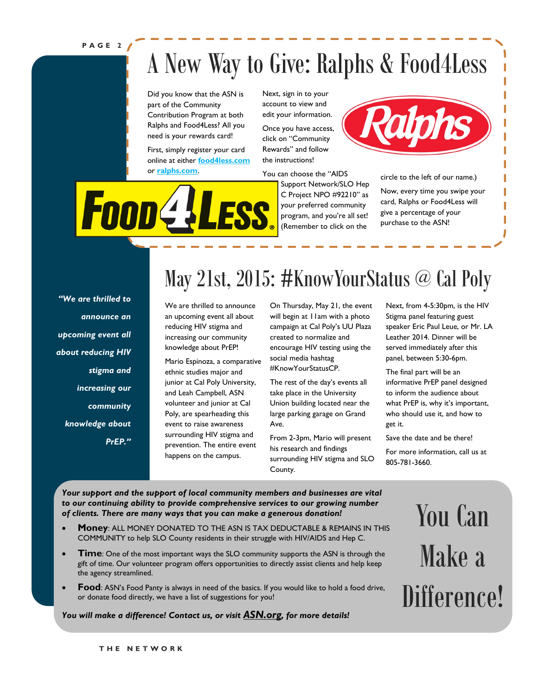### **P A G E 2**

**Foon4!** 

## A New Way to Give: Ralphs & Food4Less

Did you know that the ASN is part of the Community Contribution Program at both Ralphs and Food4Less? All you need is your rewards card!

First, simply register your card online at either **[food4less.com](http://www.food4less.com)** or **[ralphs.com](http://www.ralphs.com)**.

Next, sign in to your account to view and edit your information.

Once you have access, click on "Community Rewards" and follow the instructions!

You can choose the "AIDS

Support Network/SLO Hep C Project NPO #92210" as your preferred community program, and you're all set! (Remember to click on the



circle to the left of our name.)

Now, every time you swipe your card, Ralphs or Food4Less will give a percentage of your purchase to the ASN!

*"We are thrilled to announce an upcoming event all about reducing HIV stigma and increasing our community knowledge about PrEP."*

### May 21st, 2015: #KnowYourStatus @ Cal Poly

We are thrilled to announce an upcoming event all about reducing HIV stigma and increasing our community knowledge about PrEP!

Mario Espinoza, a comparative ethnic studies major and junior at Cal Poly University, and Leah Campbell, ASN volunteer and junior at Cal Poly, are spearheading this event to raise awareness surrounding HIV stigma and prevention. The entire event happens on the campus.

On Thursday, May 21, the event will begin at 11am with a photo campaign at Cal Poly's UU Plaza created to normalize and encourage HIV testing using the social media hashtag #KnowYourStatusCP.

The rest of the day's events all take place in the University Union building located near the large parking garage on Grand Ave.

From 2-3pm, Mario will present his research and findings surrounding HIV stigma and SLO County.

Next, from 4-5:30pm, is the HIV Stigma panel featuring guest speaker Eric Paul Leue, or Mr. LA Leather 2014. Dinner will be served immediately after this panel, between 5:30-6pm.

The final part will be an informative PrEP panel designed to inform the audience about what PrEP is, why it's important, who should use it, and how to get it.

Save the date and be there!

For more information, call us at 805-781-3660.

*Your support and the support of local community members and businesses are vital to our continuing ability to provide comprehensive services to our growing number of clients. There are many ways that you can make a generous donation!*

- **Money**: ALL MONEY DONATED TO THE ASN IS TAX DEDUCTABLE & REMAINS IN THIS COMMUNITY to help SLO County residents in their struggle with HIV/AIDS and Hep C.
- **Time**: One of the most important ways the SLO community supports the ASN is through the gift of time. Our volunteer program offers opportunities to directly assist clients and help keep the agency streamlined.
- **Food**: ASN's Food Panty is always in need of the basics. If you would like to hold a food drive, or donate food directly, we have a list of suggestions for you!

*You will make a difference! Contact us, or visit [ASN.org](http://www.asn.org/), for more details!*

You Can Make a Difference!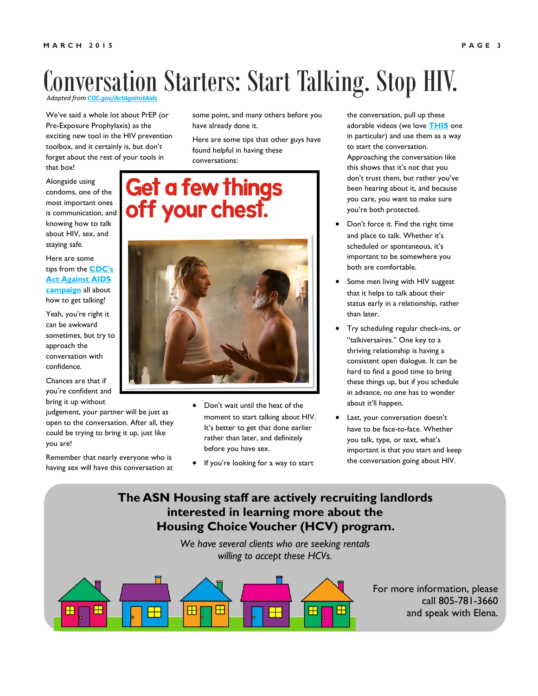### *Adapted from CDC.gov/ActAga* Conversation Starters: Start Talking. Stop HIV.

We've said a whole lot about PrEP (or Pre-Exposure Prophylaxis) as the exciting new tool in the HIV prevention toolbox, and it certainly is, but don't forget about the rest of your tools in that box!

Alongside using condoms, one of the most important ones is communication, and knowing how to talk about HIV, sex, and staying safe.

Here are some tips from the **[CDC's](http://www.cdc.gov/actagainstaids/campaigns/starttalking/materials/videos.html)  Act Against AIDS [campaign](http://www.cdc.gov/actagainstaids/campaigns/starttalking/materials/videos.html)** all about how to get talking!

Yeah, you're right it can be awkward sometimes, but try to approach the conversation with confidence.

Chances are that if you're confident and bring it up without

judgement, your partner will be just as open to the conversation. After all, they could be trying to bring it up, just like you are!

Remember that nearly everyone who is having sex will have this conversation at some point, and many others before you have already done it.

Here are some tips that other guys have found helpful in having these conversations:

### Get a few things off your chest.



- Don't wait until the heat of the moment to start talking about HIV. It's better to get that done earlier rather than later, and definitely before you have sex.
- If you're looking for a way to start

the conversation, pull up these adorable videos (we love **[THIS](https://www.youtube.com/embed/YERBWm9NAgE)** one in particular) and use them as a way to start the conversation. Approaching the conversation like this shows that it's not that you don't trust them, but rather you've been hearing about it, and because you care, you want to make sure you're both protected.

- Don't force it. Find the right time and place to talk. Whether it's scheduled or spontaneous, it's important to be somewhere you both are comfortable.
- Some men living with HIV suggest that it helps to talk about their status early in a relationship, rather than later.
- Try scheduling regular check-ins, or "talkiversaires." One key to a thriving relationship is having a consistent open dialogue. It can be hard to find a good time to bring these things up, but if you schedule in advance, no one has to wonder about it'll happen.
- Last, your conversation doesn't have to be face-to-face. Whether you talk, type, or text, what's important is that you start and keep the conversation going about HIV.

### **The ASN Housing staff are actively recruiting landlords interested in learning more about the Housing Choice Voucher (HCV) program.**

*We have several clients who are seeking rentals willing to accept these HCVs.* 



For more information, please call 805-781-3660 and speak with Elena.